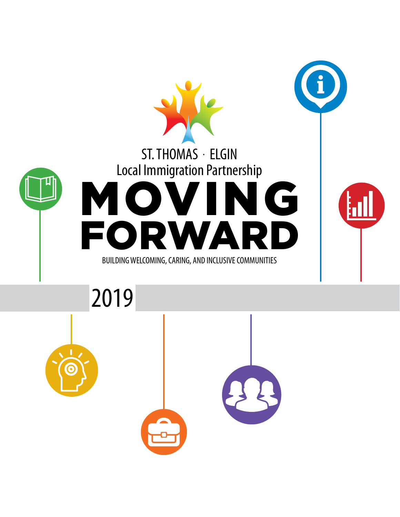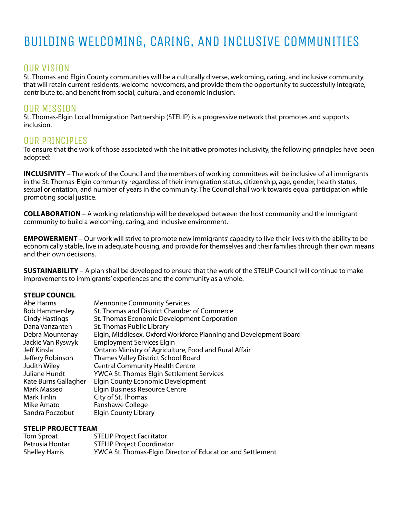### BUILDING WELCOMING, CARING, AND INCLUSIVE COMMUNITIES

#### OUR VISION

St. Thomas and Elgin County communities will be a culturally diverse, welcoming, caring, and inclusive community that will retain current residents, welcome newcomers, and provide them the opportunity to successfully integrate, contribute to, and benefit from social, cultural, and economic inclusion.

#### OUR MISSION

St. Thomas-Elgin Local Immigration Partnership (STELIP) is a progressive network that promotes and supports inclusion.

#### OUR PRINCIPLES

To ensure that the work of those associated with the initiative promotes inclusivity, the following principles have been adopted:

**INCLUSIVITY** – The work of the Council and the members of working committees will be inclusive of all immigrants in the St. Thomas-Elgin community regardless of their immigration status, citizenship, age, gender, health status, sexual orientation, and number of years in the community. The Council shall work towards equal participation while promoting social justice.

**COLLABORATION** – A working relationship will be developed between the host community and the immigrant community to build a welcoming, caring, and inclusive environment.

**EMPOWERMENT** – Our work will strive to promote new immigrants' capacity to live their lives with the ability to be economically stable, live in adequate housing, and provide for themselves and their families through their own means and their own decisions.

**SUSTAINABILITY** – A plan shall be developed to ensure that the work of the STELIP Council will continue to make improvements to immigrants' experiences and the community as a whole.

#### **STELIP COUNCIL**

| Abe Harms             | <b>Mennonite Community Services</b>                               |
|-----------------------|-------------------------------------------------------------------|
| <b>Bob Hammersley</b> | St. Thomas and District Chamber of Commerce                       |
| <b>Cindy Hastings</b> | St. Thomas Economic Development Corporation                       |
| Dana Vanzanten        | <b>St. Thomas Public Library</b>                                  |
| Debra Mountenay       | Elgin, Middlesex, Oxford Workforce Planning and Development Board |
| Jackie Van Ryswyk     | <b>Employment Services Elgin</b>                                  |
| Jeff Kinsla           | Ontario Ministry of Agriculture, Food and Rural Affair            |
| Jeffery Robinson      | Thames Valley District School Board                               |
| Judith Wiley          | <b>Central Community Health Centre</b>                            |
| Juliane Hundt         | <b>YWCA St. Thomas Elgin Settlement Services</b>                  |
| Kate Burns Gallagher  | <b>Elgin County Economic Development</b>                          |
| Mark Masseo           | Elgin Business Resource Centre                                    |
| Mark Tinlin           | City of St. Thomas                                                |
| Mike Amato            | Fanshawe College                                                  |
| Sandra Poczobut       | <b>Elgin County Library</b>                                       |

#### **STELIP PROJECT TEAM**

| Tom Sproat            | <b>STELIP Project Facilitator</b>                          |
|-----------------------|------------------------------------------------------------|
| Petrusia Hontar       | <b>STELIP Project Coordinator</b>                          |
| <b>Shelley Harris</b> | YWCA St. Thomas-Elgin Director of Education and Settlement |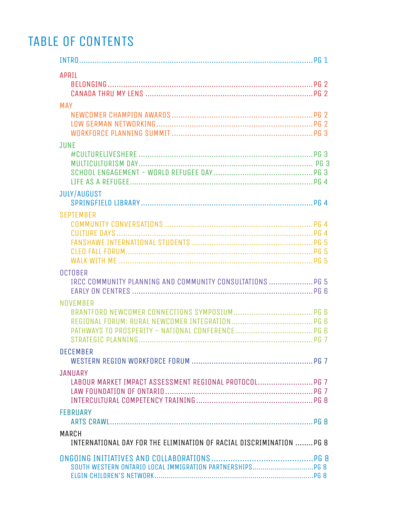### TABLE OF CONTENTS

| <b>APRIL</b>                                                                  |  |
|-------------------------------------------------------------------------------|--|
|                                                                               |  |
|                                                                               |  |
| <b>MAY</b>                                                                    |  |
|                                                                               |  |
|                                                                               |  |
| <b>JUNE</b>                                                                   |  |
|                                                                               |  |
|                                                                               |  |
|                                                                               |  |
|                                                                               |  |
| <b>JULY/AUGUST</b>                                                            |  |
|                                                                               |  |
| <b>SEPTEMBER</b>                                                              |  |
|                                                                               |  |
|                                                                               |  |
|                                                                               |  |
|                                                                               |  |
| <b>OCTOBER</b>                                                                |  |
| IRCC COMMUNITY PLANNING AND COMMUNITY CONSULTATIONS  PG 5                     |  |
|                                                                               |  |
| <b>NOVEMBER</b>                                                               |  |
|                                                                               |  |
|                                                                               |  |
|                                                                               |  |
| <b>DECEMBER</b>                                                               |  |
|                                                                               |  |
| <b>JANUARY</b>                                                                |  |
| LABOUR MARKET IMPACT ASSESSMENT REGIONAL PROTOCOL PG 7                        |  |
|                                                                               |  |
|                                                                               |  |
| <b>FEBRUARY</b>                                                               |  |
|                                                                               |  |
| MARCH<br>INTERNATIONAL DAY FOR THE ELIMINATION OF RACIAL DISCRIMINATION  PG 8 |  |
|                                                                               |  |
|                                                                               |  |
|                                                                               |  |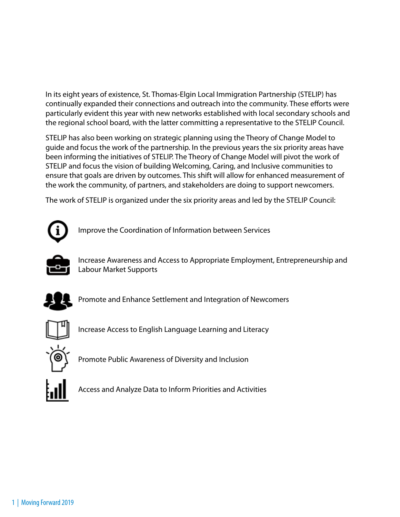In its eight years of existence, St. Thomas-Elgin Local Immigration Partnership (STELIP) has continually expanded their connections and outreach into the community. These efforts were particularly evident this year with new networks established with local secondary schools and the regional school board, with the latter committing a representative to the STELIP Council.

STELIP has also been working on strategic planning using the Theory of Change Model to guide and focus the work of the partnership. In the previous years the six priority areas have been informing the initiatives of STELIP. The Theory of Change Model will pivot the work of STELIP and focus the vision of building Welcoming, Caring, and Inclusive communities to ensure that goals are driven by outcomes. This shift will allow for enhanced measurement of the work the community, of partners, and stakeholders are doing to support newcomers.

The work of STELIP is organized under the six priority areas and led by the STELIP Council:



Improve the Coordination of Information between Services



Increase Awareness and Access to Appropriate Employment, Entrepreneurship and Labour Market Supports



Promote and Enhance Settlement and Integration of Newcomers



Increase Access to English Language Learning and Literacy



Promote Public Awareness of Diversity and Inclusion



Access and Analyze Data to Inform Priorities and Activities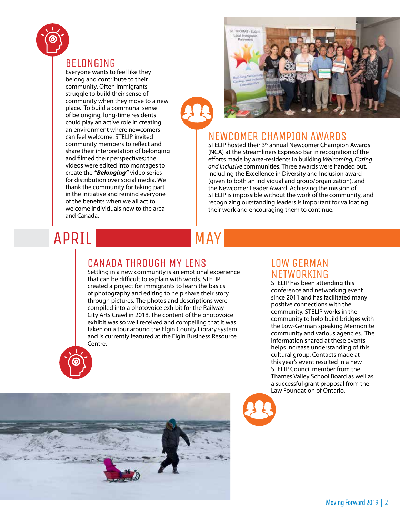

#### BELONGING

Everyone wants to feel like they belong and contribute to their community. Often immigrants struggle to build their sense of community when they move to a new place. To build a communal sense of belonging, long-time residents could play an active role in creating an environment where newcomers can feel welcome. STELIP invited community members to reflect and share their interpretation of belonging and filmed their perspectives; the videos were edited into montages to create the *"Belonging"* video series for distribution over social media. We thank the community for taking part in the initiative and remind everyone of the benefits when we all act to welcome individuals new to the area and Canada.



### NEWCOMER CHAMPION AWARDS

STELIP hosted their 3<sup>rd</sup> annual Newcomer Champion Awards (NCA) at the Streamliners Expresso Bar in recognition of the efforts made by area-residents in building *Welcoming, Caring and Inclusive* communities. Three awards were handed out, including the Excellence in Diversity and Inclusion award (given to both an individual and group/organization), and the Newcomer Leader Award. Achieving the mission of STELIP is impossible without the work of the community, and recognizing outstanding leaders is important for validating their work and encouraging them to continue.

## APRIL

# MAY

#### CANADA THROUGH MY LENS

Settling in a new community is an emotional experience that can be difficult to explain with words. STELIP created a project for immigrants to learn the basics of photography and editing to help share their story through pictures. The photos and descriptions were compiled into a photovoice exhibit for the Railway City Arts Crawl in 2018. The content of the photovoice exhibit was so well received and compelling that it was taken on a tour around the Elgin County Library system and is currently featured at the Elgin Business Resource Centre.



STELIP has been attending this conference and networking event since 2011 and has facilitated many positive connections with the community. STELIP works in the community to help build bridges with the Low-German speaking Mennonite community and various agencies. The information shared at these events helps increase understanding of this cultural group. Contacts made at this year's event resulted in a new STELIP Council member from the Thames Valley School Board as well as a successful grant proposal from the Law Foundation of Ontario.

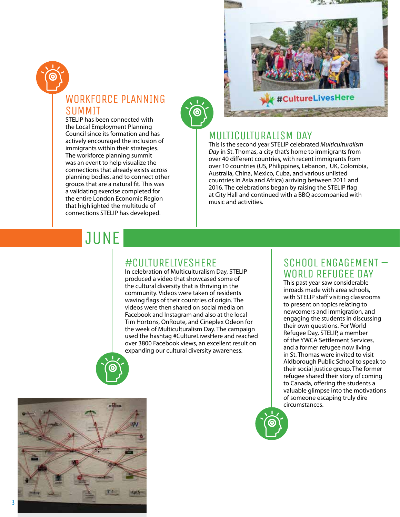

### WORKFORCE PLANNING SUMMIT

STELIP has been connected with the Local Employment Planning Council since its formation and has actively encouraged the inclusion of immigrants within their strategies. The workforce planning summit was an event to help visualize the connections that already exists across planning bodies, and to connect other groups that are a natural fit. This was a validating exercise completed for the entire London Economic Region that highlighted the multitude of connections STELIP has developed.



#### MULTICULTURALISM DAY

This is the second year STELIP celebrated *Multiculturalism Day* in St. Thomas, a city that's home to immigrants from over 40 different countries, with recent immigrants from over 10 countries (US, Philippines, Lebanon, UK, Colombia, Australia, China, Mexico, Cuba, and various unlisted countries in Asia and Africa) arriving between 2011 and 2016. The celebrations began by raising the STELIP flag at City Hall and continued with a BBQ accompanied with music and activities.

## **JUNE**

#### #CULTURELIVESHERE

In celebration of Multiculturalism Day, STELIP produced a video that showcased some of the cultural diversity that is thriving in the community. Videos were taken of residents waving flags of their countries of origin. The videos were then shared on social media on Facebook and Instagram and also at the local Tim Hortons, OnRoute, and Cineplex Odeon for the week of Multiculturalism Day. The campaign used the hashtag #CultureLivesHere and reached over 3800 Facebook views, an excellent result on expanding our cultural diversity awareness.

#### SCHOOL ENGAGEMENT – WORLD REFUGEE DAY

This past year saw considerable inroads made with area schools, with STELIP staff visiting classrooms to present on topics relating to newcomers and immigration, and engaging the students in discussing their own questions. For World Refugee Day, STELIP, a member of the YWCA Settlement Services, and a former refugee now living in St. Thomas were invited to visit Aldborough Public School to speak to their social justice group. The former refugee shared their story of coming to Canada, offering the students a valuable glimpse into the motivations of someone escaping truly dire circumstances.



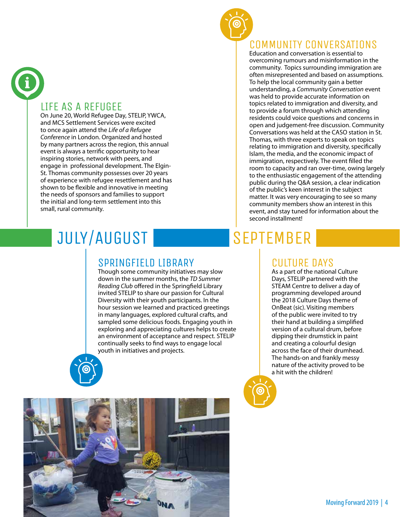

#### LIFE AS A REFUGEE

On June 20, World Refugee Day, STELIP, YWCA, and MCS Settlement Services were excited to once again attend the *Life of a Refugee Conference* in London. Organized and hosted by many partners across the region, this annual event is always a terrific opportunity to hear inspiring stories, network with peers, and engage in professional development. The Elgin-St. Thomas community possesses over 20 years of experience with refugee resettlement and has shown to be flexible and innovative in meeting the needs of sponsors and families to support the initial and long-term settlement into this small, rural community.

#### COMMUNITY CONVERSATIONS

Education and conversation is essential to overcoming rumours and misinformation in the community. Topics surrounding immigration are often misrepresented and based on assumptions. To help the local community gain a better understanding, a *Community Conversation* event was held to provide accurate information on topics related to immigration and diversity, and to provide a forum through which attending residents could voice questions and concerns in open and judgement-free discussion. Community Conversations was held at the CASO station in St. Thomas, with three experts to speak on topics relating to immigration and diversity, specifically Islam, the media, and the economic impact of immigration, respectively. The event filled the room to capacity and ran over-time, owing largely to the enthusiastic engagement of the attending public during the Q&A session, a clear indication of the public's keen interest in the subject matter. It was very encouraging to see so many community members show an interest in this event, and stay tuned for information about the second installment!

# JULY/AUGUST

## SPRINGFIELD LIBRARY

Though some community initiatives may slow down in the summer months, the *TD Summer Reading Club* offered in the Springfield Library invited STELIP to share our passion for Cultural Diversity with their youth participants. In the hour session we learned and practiced greetings in many languages, explored cultural crafts, and sampled some delicious foods. Engaging youth in exploring and appreciating cultures helps to create an environment of acceptance and respect. STELIP continually seeks to find ways to engage local youth in initiatives and projects.

# SEPTEMBER

#### CULTURE DAYS

As a part of the national Culture Days, STELIP partnered with the STEAM Centre to deliver a day of programming developed around the 2018 Culture Days theme of OnBeat (sic). Visiting members of the public were invited to try their hand at building a simplified version of a cultural drum, before dipping their drumstick in paint and creating a colourful design across the face of their drumhead. The hands-on and frankly messy nature of the activity proved to be a hit with the children!



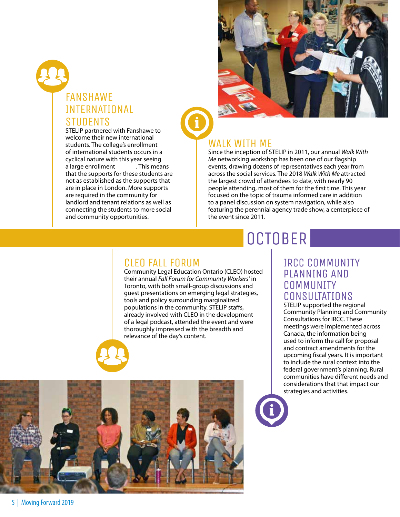### FANSHAWE INTERNATIONAL **STUDENTS**<br>STELIP partnered with Fanshawe to

welcome their new international students. The college's enrollment of international students occurs in a cyclical nature with this year seeing<br>a large enrollment . This means a large enrollment that the supports for these students are not as established as the supports that are in place in London. More supports are required in the community for landlord and tenant relations as well as connecting the students to more social and community opportunities.



### WALK WITH ME

Since the inception of STELIP in 2011, our annual *Walk With Me* networking workshop has been one of our flagship events, drawing dozens of representatives each year from across the social services. The 2018 *Walk With Me* attracted the largest crowd of attendees to date, with nearly 90 people attending, most of them for the first time. This year focused on the topic of trauma informed care in addition to a panel discussion on system navigation, while also featuring the perennial agency trade show, a centerpiece of the event since 2011.

# **OCTOBER**

#### CLEO FALL FORUM

Community Legal Education Ontario (CLEO) hosted their annual *Fall Forum for Community Workers'* in Toronto, with both small-group discussions and guest presentations on emerging legal strategies, tools and policy surrounding marginalized populations in the community. STELIP staffs, already involved with CLEO in the development of a legal podcast, attended the event and were thoroughly impressed with the breadth and relevance of the day's content.



#### IRCC COMMUNITY PLANNING AND **COMMUNITY** CONSULTATIONS

STELIP supported the regional Community Planning and Community Consultations for IRCC. These meetings were implemented across Canada, the information being used to inform the call for proposal and contract amendments for the upcoming fiscal years. It is important to include the rural context into the federal government's planning. Rural communities have different needs and considerations that that impact our strategies and activities.

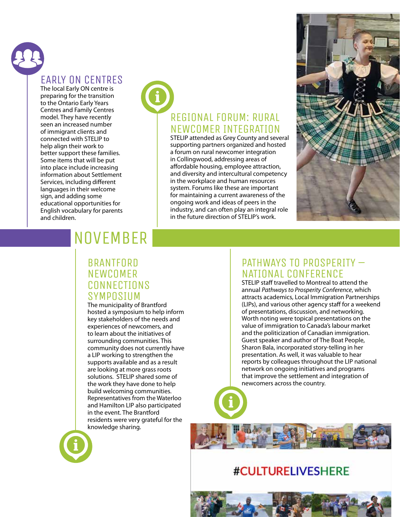### EARLY ON CENTRES

The local Early ON centre is preparing for the transition to the Ontario Early Years Centres and Family Centres model. They have recently seen an increased number of immigrant clients and connected with STELIP to help align their work to better support these families. Some items that will be put into place include increasing information about Settlement Services, including different languages in their welcome sign, and adding some educational opportunities for English vocabulary for parents and children.

### REGIONAL FORUM: RURAL NEWCOMER INTEGRATION

STELIP attended as Grey County and several supporting partners organized and hosted a forum on rural newcomer integration in Collingwood, addressing areas of affordable housing, employee attraction, and diversity and intercultural competency in the workplace and human resources system. Forums like these are important for maintaining a current awareness of the ongoing work and ideas of peers in the industry, and can often play an integral role in the future direction of STELIP's work.



## NOVEMBER

#### BRANTFORD **NEWCOMER CONNECTIONS** SYMPOSIUM

The municipality of Brantford hosted a symposium to help inform key stakeholders of the needs and experiences of newcomers, and to learn about the initiatives of surrounding communities. This community does not currently have a LIP working to strengthen the supports available and as a result are looking at more grass roots solutions. STELIP shared some of the work they have done to help build welcoming communities. Representatives from the Waterloo and Hamilton LIP also participated in the event. The Brantford residents were very grateful for the knowledge sharing.

#### PATHWAYS TO PROSPERITY – NATIONAL CONFERENCE

STELIP staff travelled to Montreal to attend the annual *Pathways to Prosperity Conference*, which attracts academics, Local Immigration Partnerships (LIPs), and various other agency staff for a weekend of presentations, discussion, and networking. Worth noting were topical presentations on the value of immigration to Canada's labour market and the politicization of Canadian immigration. Guest speaker and author of The Boat People, Sharon Bala, incorporated story-telling in her presentation. As well, it was valuable to hear reports by colleagues throughout the LIP national network on ongoing initiatives and programs that improve the settlement and integration of newcomers across the country.



### **#CULTURELIVESHERE**

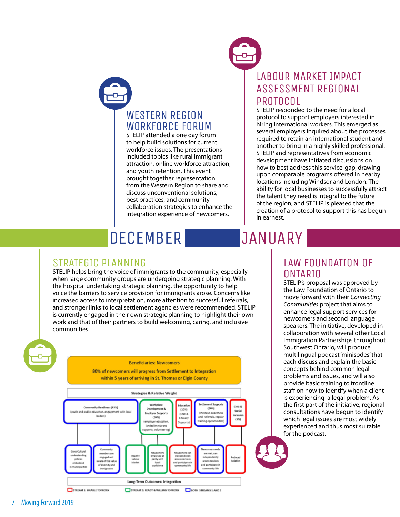

#### WESTERN REGION WORKFORCE FORUM

STELIP attended a one day forum to help build solutions for current workforce issues. The presentations included topics like rural immigrant attraction, online workforce attraction, and youth retention. This event brought together representation from the Western Region to share and discuss unconventional solutions, best practices, and community collaboration strategies to enhance the integration experience of newcomers.

### LABOUR MARKET IMPACT ASSESSMENT REGIONAL **PROTOCOL**

STELIP responded to the need for a local protocol to support employers interested in hiring international workers. This emerged as several employers inquired about the processes required to retain an international student and another to bring in a highly skilled professional. STELIP and representatives from economic development have initiated discussions on how to best address this service-gap, drawing upon comparable programs offered in nearby locations including Windsor and London. The ability for local businesses to successfully attract the talent they need is integral to the future of the region, and STELIP is pleased that the creation of a protocol to support this has begun in earnest.

# **DECEMBER**

 $STRATEGIC$   $PLANNING$ <br>STELIP helps bring the voice of immigrants to the community, especially when large community groups are undergoing strategic planning. With the hospital undertaking strategic planning, the opportunity to help voice the barriers to service provision for immigrants arose. Concerns like increased access to interpretation, more attention to successful referrals, and stronger links to local settlement agencies were recommended. STELIP is currently engaged in their own strategic planning to highlight their own work and that of their partners to build welcoming, caring, and inclusive communities.

#### **Beneficiaries: Newcomers**

80% of newcomers will progress from Settlement to Integration within 5 years of arriving in St. Thomas or Elgin County



#### LAW FOUNDATION OF **ONTARIO**

**JANUARY** 

STELIP's proposal was approved by the Law Foundation of Ontario to move forward with their *Connecting Communities* project that aims to enhance legal support services for newcomers and second language speakers. The initiative, developed in collaboration with several other Local Immigration Partnerships throughout Southwest Ontario, will produce multilingual podcast 'minisodes' that each discuss and explain the basic concepts behind common legal problems and issues, and will also provide basic training to frontline staff on how to identify when a client is experiencing a legal problem. As the first part of the initiative, regional consultations have begun to identify which legal issues are most widely experienced and thus most suitable for the podcast.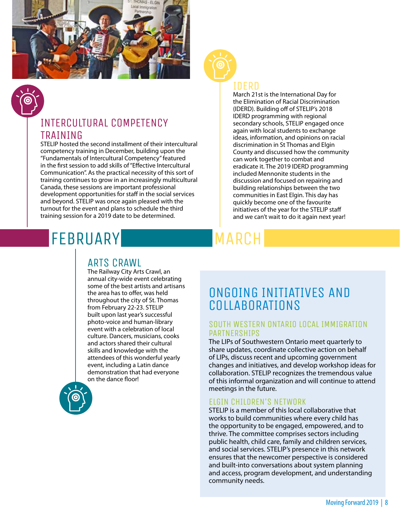

### INTERCULTURAL COMPETENCY TRAINING

STELIP hosted the second installment of their intercultural competency training in December, building upon the "Fundamentals of Intercultural Competency" featured in the first session to add skills of "Effective Intercultural Communication". As the practical necessity of this sort of training continues to grow in an increasingly multicultural Canada, these sessions are important professional development opportunities for staff in the social services and beyond. STELIP was once again pleased with the turnout for the event and plans to schedule the third training session for a 2019 date to be determined.

# FEBRUARY

#### ARTS CRAWL

The Railway City Arts Crawl, an annual city-wide event celebrating some of the best artists and artisans the area has to offer, was held throughout the city of St. Thomas from February 22-23. STELIP built upon last year's successful photo-voice and human-library event with a celebration of local culture. Dancers, musicians, cooks and actors shared their cultural skills and knowledge with the attendees of this wonderful yearly event, including a Latin dance demonstration that had everyone on the dance floor!





#### IDERD

March 21st is the International Day for the Elimination of Racial Discrimination (IDERD). Building off of STELIP's 2018 IDERD programming with regional secondary schools, STELIP engaged once again with local students to exchange ideas, information, and opinions on racial discrimination in St Thomas and Elgin County and discussed how the community can work together to combat and eradicate it. The 2019 IDERD programming included Mennonite students in the discussion and focused on repairing and building relationships between the two communities in East Elgin. This day has quickly become one of the favourite initiatives of the year for the STELIP staff and we can't wait to do it again next year!

# MARCH

### ONGOING INITIATIVES AND COLLABORATIONS

#### SOUTH WESTERN ONTARIO LOCAL IMMIGRATION PARTNERSHIPS

The LIPs of Southwestern Ontario meet quarterly to share updates, coordinate collective action on behalf of LIPs, discuss recent and upcoming government changes and initiatives, and develop workshop ideas for collaboration. STELIP recognizes the tremendous value of this informal organization and will continue to attend meetings in the future.

#### ELGIN CHILDREN'S NETWORK

STELIP is a member of this local collaborative that works to build communities where every child has the opportunity to be engaged, empowered, and to thrive. The committee comprises sectors including public health, child care, family and children services, and social services. STELIP's presence in this network ensures that the newcomer perspective is considered and built-into conversations about system planning and access, program development, and understanding community needs.